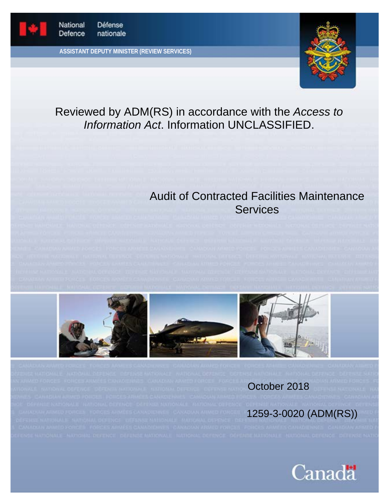

**ASSISTANT DEPUTY MINISTER (REVIEW SERVICES)**



# Reviewed by ADM(RS) in accordance with the *Access to Information Act*. Information UNCLASSIFIED.

# Audit of Contracted Facilities Maintenance **Services**







October 2018

1259-3-0020 (ADM(RS))

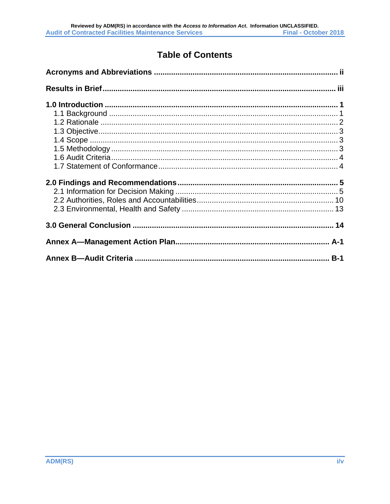# **Table of Contents**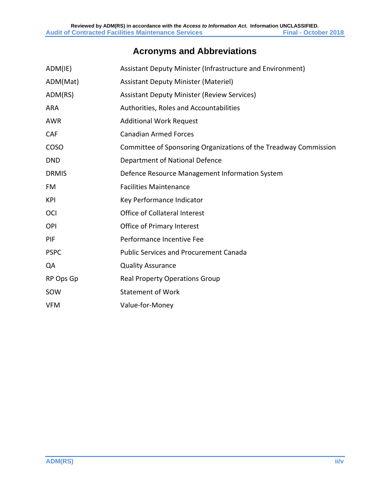# **Acronyms and Abbreviations**

<span id="page-2-0"></span>

| ADM(IE)      | Assistant Deputy Minister (Infrastructure and Environment)       |
|--------------|------------------------------------------------------------------|
| ADM(Mat)     | <b>Assistant Deputy Minister (Materiel)</b>                      |
| ADM(RS)      | <b>Assistant Deputy Minister (Review Services)</b>               |
| <b>ARA</b>   | Authorities, Roles and Accountabilities                          |
| <b>AWR</b>   | <b>Additional Work Request</b>                                   |
| CAF          | <b>Canadian Armed Forces</b>                                     |
| COSO         | Committee of Sponsoring Organizations of the Treadway Commission |
| <b>DND</b>   | Department of National Defence                                   |
| <b>DRMIS</b> | Defence Resource Management Information System                   |
| FM           | <b>Facilities Maintenance</b>                                    |
| KPI          | Key Performance Indicator                                        |
| OCI          | Office of Collateral Interest                                    |
| OPI          | Office of Primary Interest                                       |
| PIF          | Performance Incentive Fee                                        |
| <b>PSPC</b>  | <b>Public Services and Procurement Canada</b>                    |
| QA           | <b>Quality Assurance</b>                                         |
| RP Ops Gp    | <b>Real Property Operations Group</b>                            |
| SOW          | <b>Statement of Work</b>                                         |
| <b>VFM</b>   | Value-for-Money                                                  |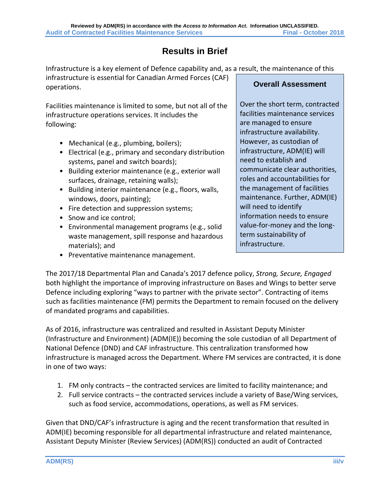# **Results in Brief**

<span id="page-3-0"></span>Infrastructure is a key element of Defence capability and, as a result, the maintenance of this

infrastructure is essential for Canadian Armed Forces (CAF) operations.

Facilities maintenance is limited to some, but not all of the infrastructure operations services. It includes the following:

- Mechanical (e.g., plumbing, boilers);
- Electrical (e.g., primary and secondary distribution systems, panel and switch boards);
- Building exterior maintenance (e.g., exterior wall surfaces, drainage, retaining walls);
- Building interior maintenance (e.g., floors, walls, windows, doors, painting);
- Fire detection and suppression systems;
- Snow and ice control;
- Environmental management programs (e.g., solid waste management, spill response and hazardous materials); and
- Preventative maintenance management.

## **Overall Assessment**

Over the short term, contracted facilities maintenance services are managed to ensure infrastructure availability. However, as custodian of infrastructure, ADM(IE) will need to establish and communicate clear authorities, roles and accountabilities for the management of facilities maintenance. Further, ADM(IE) will need to identify information needs to ensure value-for-money and the longterm sustainability of infrastructure.

The 2017/18 Departmental Plan and Canada's 2017 defence policy, *Strong, Secure, Engaged* both highlight the importance of improving infrastructure on Bases and Wings to better serve Defence including exploring "ways to partner with the private sector". Contracting of items such as facilities maintenance (FM) permits the Department to remain focused on the delivery of mandated programs and capabilities.

As of 2016, infrastructure was centralized and resulted in Assistant Deputy Minister (Infrastructure and Environment) (ADM(IE)) becoming the sole custodian of all Department of National Defence (DND) and CAF infrastructure. This centralization transformed how infrastructure is managed across the Department. Where FM services are contracted, it is done in one of two ways:

- 1. FM only contracts the contracted services are limited to facility maintenance; and
- 2. Full service contracts the contracted services include a variety of Base/Wing services, such as food service, accommodations, operations, as well as FM services.

Given that DND/CAF's infrastructure is aging and the recent transformation that resulted in ADM(IE) becoming responsible for all departmental infrastructure and related maintenance, Assistant Deputy Minister (Review Services) (ADM(RS)) conducted an audit of Contracted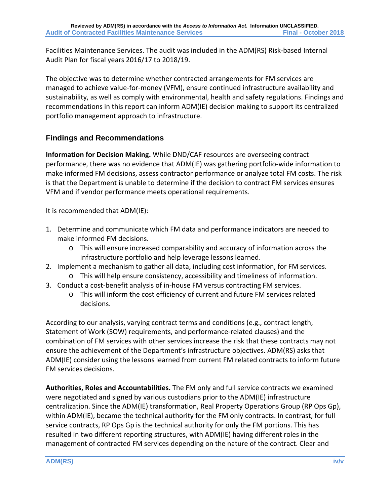Facilities Maintenance Services. The audit was included in the ADM(RS) Risk-based Internal Audit Plan for fiscal years 2016/17 to 2018/19.

The objective was to determine whether contracted arrangements for FM services are managed to achieve value-for-money (VFM), ensure continued infrastructure availability and sustainability, as well as comply with environmental, health and safety regulations. Findings and recommendations in this report can inform ADM(IE) decision making to support its centralized portfolio management approach to infrastructure.

## **Findings and Recommendations**

**Information for Decision Making.** While DND/CAF resources are overseeing contract performance, there was no evidence that ADM(IE) was gathering portfolio-wide information to make informed FM decisions, assess contractor performance or analyze total FM costs. The risk is that the Department is unable to determine if the decision to contract FM services ensures VFM and if vendor performance meets operational requirements.

It is recommended that ADM(IE):

- 1. Determine and communicate which FM data and performance indicators are needed to make informed FM decisions.
	- o This will ensure increased comparability and accuracy of information across the infrastructure portfolio and help leverage lessons learned.
- 2. Implement a mechanism to gather all data, including cost information, for FM services.
	- o This will help ensure consistency, accessibility and timeliness of information.
- 3. Conduct a cost-benefit analysis of in-house FM versus contracting FM services.
	- o This will inform the cost efficiency of current and future FM services related decisions.

According to our analysis, varying contract terms and conditions (e.g., contract length, Statement of Work (SOW) requirements, and performance-related clauses) and the combination of FM services with other services increase the risk that these contracts may not ensure the achievement of the Department's infrastructure objectives. ADM(RS) asks that ADM(IE) consider using the lessons learned from current FM related contracts to inform future FM services decisions.

**Authorities, Roles and Accountabilities.** The FM only and full service contracts we examined were negotiated and signed by various custodians prior to the ADM(IE) infrastructure centralization. Since the ADM(IE) transformation, Real Property Operations Group (RP Ops Gp), within ADM(IE), became the technical authority for the FM only contracts. In contrast, for full service contracts, RP Ops Gp is the technical authority for only the FM portions. This has resulted in two different reporting structures, with ADM(IE) having different roles in the management of contracted FM services depending on the nature of the contract. Clear and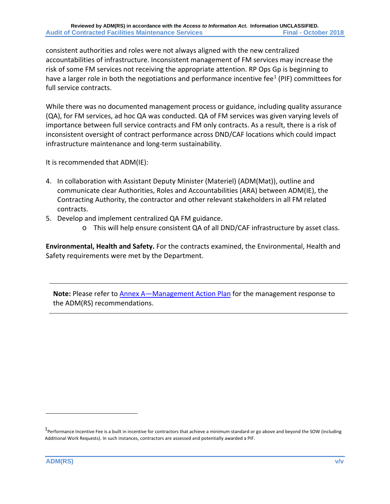consistent authorities and roles were not always aligned with the new centralized accountabilities of infrastructure. Inconsistent management of FM services may increase the risk of some FM services not receiving the appropriate attention. RP Ops Gp is beginning to have a larger role in both the negotiations and performance incentive fee<sup>[1](#page-5-0)</sup> (PIF) committees for full service contracts.

While there was no documented management process or guidance, including quality assurance (QA), for FM services, ad hoc QA was conducted. QA of FM services was given varying levels of importance between full service contracts and FM only contracts. As a result, there is a risk of inconsistent oversight of contract performance across DND/CAF locations which could impact infrastructure maintenance and long-term sustainability.

It is recommended that ADM(IE):

- 4. In collaboration with Assistant Deputy Minister (Materiel) (ADM(Mat)), outline and communicate clear Authorities, Roles and Accountabilities (ARA) between ADM(IE), the Contracting Authority, the contractor and other relevant stakeholders in all FM related contracts.
- 5. Develop and implement centralized QA FM guidance.
	- o This will help ensure consistent QA of all DND/CAF infrastructure by asset class.

**Environmental, Health and Safety.** For the contracts examined, the Environmental, Health and Safety requirements were met by the Department.

**Note:** Please refer to [Annex A—Management Action Plan](#page-20-0) for the management response to the ADM(RS) recommendations.

 $\overline{a}$ 

<span id="page-5-0"></span><sup>1&</sup>lt;br>Performance Incentive Fee is a built in incentive for contractors that achieve a minimum standard or go above and beyond the SOW (including Additional Work Requests). In such instances, contractors are assessed and potentially awarded a PIF.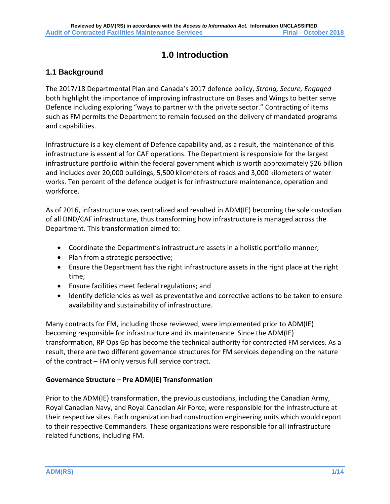# **1.0 Introduction**

## <span id="page-6-1"></span><span id="page-6-0"></span>**1.1 Background**

The 2017/18 Departmental Plan and Canada's 2017 defence policy, *Strong, Secure, Engaged* both highlight the importance of improving infrastructure on Bases and Wings to better serve Defence including exploring "ways to partner with the private sector." Contracting of items such as FM permits the Department to remain focused on the delivery of mandated programs and capabilities.

Infrastructure is a key element of Defence capability and, as a result, the maintenance of this infrastructure is essential for CAF operations. The Department is responsible for the largest infrastructure portfolio within the federal government which is worth approximately \$26 billion and includes over 20,000 buildings, 5,500 kilometers of roads and 3,000 kilometers of water works. Ten percent of the defence budget is for infrastructure maintenance, operation and workforce.

As of 2016, infrastructure was centralized and resulted in ADM(IE) becoming the sole custodian of all DND/CAF infrastructure, thus transforming how infrastructure is managed across the Department. This transformation aimed to:

- Coordinate the Department's infrastructure assets in a holistic portfolio manner;
- Plan from a strategic perspective;
- Ensure the Department has the right infrastructure assets in the right place at the right time;
- Ensure facilities meet federal regulations; and
- Identify deficiencies as well as preventative and corrective actions to be taken to ensure availability and sustainability of infrastructure.

Many contracts for FM, including those reviewed, were implemented prior to ADM(IE) becoming responsible for infrastructure and its maintenance. Since the ADM(IE) transformation, RP Ops Gp has become the technical authority for contracted FM services. As a result, there are two different governance structures for FM services depending on the nature of the contract – FM only versus full service contract.

#### **Governance Structure – Pre ADM(IE) Transformation**

Prior to the ADM(IE) transformation, the previous custodians, including the Canadian Army, Royal Canadian Navy, and Royal Canadian Air Force, were responsible for the infrastructure at their respective sites. Each organization had construction engineering units which would report to their respective Commanders. These organizations were responsible for all infrastructure related functions, including FM.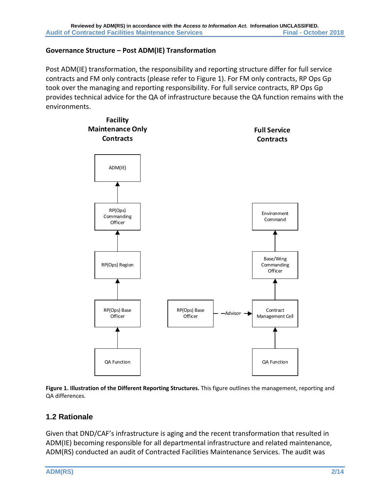#### **Governance Structure – Post ADM(IE) Transformation**

Post ADM(IE) transformation, the responsibility and reporting structure differ for full service contracts and FM only contracts (please refer to Figure 1). For FM only contracts, RP Ops Gp took over the managing and reporting responsibility. For full service contracts, RP Ops Gp provides technical advice for the QA of infrastructure because the QA function remains with the environments.



**Figure 1. Illustration of the Different Reporting Structures.** This figure outlines the management, reporting and QA differences.

#### <span id="page-7-0"></span>**1.2 Rationale**

Given that DND/CAF's infrastructure is aging and the recent transformation that resulted in ADM(IE) becoming responsible for all departmental infrastructure and related maintenance, ADM(RS) conducted an audit of Contracted Facilities Maintenance Services. The audit was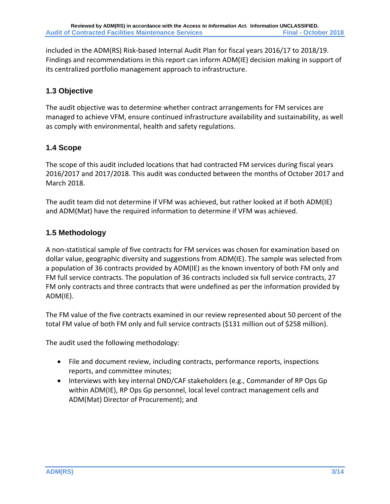included in the ADM(RS) Risk-based Internal Audit Plan for fiscal years 2016/17 to 2018/19. Findings and recommendations in this report can inform ADM(IE) decision making in support of its centralized portfolio management approach to infrastructure.

## <span id="page-8-0"></span>**1.3 Objective**

The audit objective was to determine whether contract arrangements for FM services are managed to achieve VFM, ensure continued infrastructure availability and sustainability, as well as comply with environmental, health and safety regulations.

## <span id="page-8-1"></span>**1.4 Scope**

The scope of this audit included locations that had contracted FM services during fiscal years 2016/2017 and 2017/2018. This audit was conducted between the months of October 2017 and March 2018.

The audit team did not determine if VFM was achieved, but rather looked at if both ADM(IE) and ADM(Mat) have the required information to determine if VFM was achieved.

## <span id="page-8-2"></span>**1.5 Methodology**

A non-statistical sample of five contracts for FM services was chosen for examination based on dollar value, geographic diversity and suggestions from ADM(IE). The sample was selected from a population of 36 contracts provided by ADM(IE) as the known inventory of both FM only and FM full service contracts. The population of 36 contracts included six full service contracts, 27 FM only contracts and three contracts that were undefined as per the information provided by ADM(IE).

The FM value of the five contracts examined in our review represented about 50 percent of the total FM value of both FM only and full service contracts (\$131 million out of \$258 million).

The audit used the following methodology:

- File and document review, including contracts, performance reports, inspections reports, and committee minutes;
- Interviews with key internal DND/CAF stakeholders (e.g., Commander of RP Ops Gp) within ADM(IE), RP Ops Gp personnel, local level contract management cells and ADM(Mat) Director of Procurement); and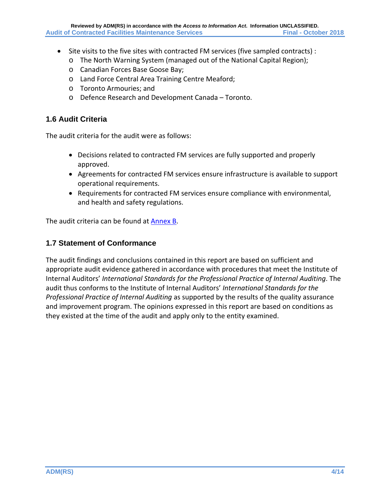- Site visits to the five sites with contracted FM services (five sampled contracts) :
	- o The North Warning System (managed out of the National Capital Region);
	- o Canadian Forces Base Goose Bay;
	- o Land Force Central Area Training Centre Meaford;
	- o Toronto Armouries; and
	- o Defence Research and Development Canada Toronto.

#### <span id="page-9-0"></span>**1.6 Audit Criteria**

The audit criteria for the audit were as follows:

- Decisions related to contracted FM services are fully supported and properly approved.
- Agreements for contracted FM services ensure infrastructure is available to support operational requirements.
- Requirements for contracted FM services ensure compliance with environmental, and health and safety regulations.

The audit criteria can be found at [Annex B.](#page-24-0)

#### <span id="page-9-1"></span>**1.7 Statement of Conformance**

The audit findings and conclusions contained in this report are based on sufficient and appropriate audit evidence gathered in accordance with procedures that meet the Institute of Internal Auditors' *International Standards for the Professional Practice of Internal Auditing*. The audit thus conforms to the Institute of Internal Auditors' *International Standards for the Professional Practice of Internal Auditing* as supported by the results of the quality assurance and improvement program. The opinions expressed in this report are based on conditions as they existed at the time of the audit and apply only to the entity examined.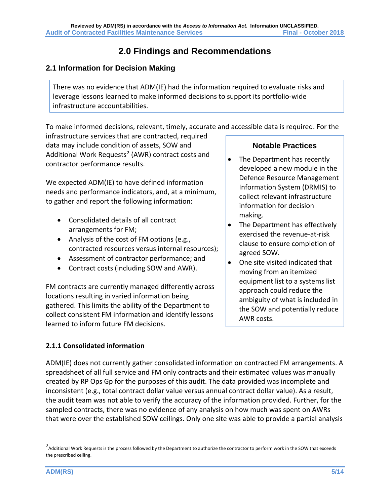# **2.0 Findings and Recommendations**

## <span id="page-10-1"></span><span id="page-10-0"></span>**2.1 Information for Decision Making**

There was no evidence that ADM(IE) had the information required to evaluate risks and leverage lessons learned to make informed decisions to support its portfolio-wide infrastructure accountabilities.

To make informed decisions, relevant, timely, accurate and accessible data is required. For the

infrastructure services that are contracted, required data may include condition of assets, SOW and Additional Work Requests<sup>[2](#page-10-2)</sup> (AWR) contract costs and contractor performance results.

We expected ADM(IE) to have defined information needs and performance indicators, and, at a minimum, to gather and report the following information:

- Consolidated details of all contract arrangements for FM;
- Analysis of the cost of FM options (e.g., contracted resources versus internal resources);
- Assessment of contractor performance; and
- Contract costs (including SOW and AWR).

FM contracts are currently managed differently across locations resulting in varied information being gathered. This limits the ability of the Department to collect consistent FM information and identify lessons learned to inform future FM decisions.

## **Notable Practices**

- The Department has recently developed a new module in the Defence Resource Management Information System (DRMIS) to collect relevant infrastructure information for decision making.
- The Department has effectively exercised the revenue-at-risk clause to ensure completion of agreed SOW.
- One site visited indicated that moving from an itemized equipment list to a systems list approach could reduce the ambiguity of what is included in the SOW and potentially reduce AWR costs.

## **2.1.1 Consolidated information**

ADM(IE) does not currently gather consolidated information on contracted FM arrangements. A spreadsheet of all full service and FM only contracts and their estimated values was manually created by RP Ops Gp for the purposes of this audit. The data provided was incomplete and inconsistent (e.g., total contract dollar value versus annual contract dollar value). As a result, the audit team was not able to verify the accuracy of the information provided. Further, for the sampled contracts, there was no evidence of any analysis on how much was spent on AWRs that were over the established SOW ceilings. Only one site was able to provide a partial analysis

 $\overline{a}$ 

<span id="page-10-2"></span> $^2$ Additional Work Requests is the process followed by the Department to authorize the contractor to perform work in the SOW that exceeds the prescribed ceiling.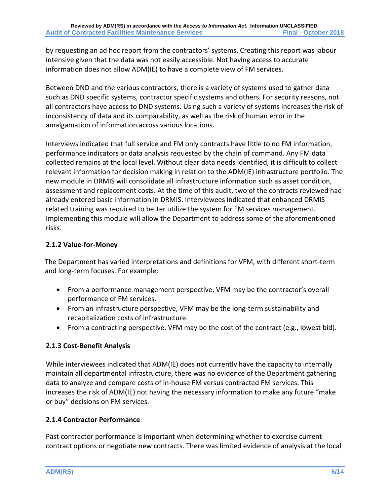by requesting an ad hoc report from the contractors' systems. Creating this report was labour intensive given that the data was not easily accessible. Not having access to accurate information does not allow ADM(IE) to have a complete view of FM services.

Between DND and the various contractors, there is a variety of systems used to gather data such as DND specific systems, contractor specific systems and others. For security reasons, not all contractors have access to DND systems. Using such a variety of systems increases the risk of inconsistency of data and its comparability, as well as the risk of human error in the amalgamation of information across various locations.

Interviews indicated that full service and FM only contracts have little to no FM information, performance indicators or data analysis requested by the chain of command. Any FM data collected remains at the local level. Without clear data needs identified, it is difficult to collect relevant information for decision making in relation to the ADM(IE) infrastructure portfolio. The new module in DRMIS will consolidate all infrastructure information such as asset condition, assessment and replacement costs. At the time of this audit, two of the contracts reviewed had already entered basic information in DRMIS. Interviewees indicated that enhanced DRMIS related training was required to better utilize the system for FM services management. Implementing this module will allow the Department to address some of the aforementioned risks.

## **2.1.2 Value-for-Money**

The Department has varied interpretations and definitions for VFM, with different short-term and long-term focuses. For example:

- From a performance management perspective, VFM may be the contractor's overall performance of FM services.
- From an infrastructure perspective, VFM may be the long-term sustainability and recapitalization costs of infrastructure.
- From a contracting perspective, VFM may be the cost of the contract (e.g., lowest bid).

## **2.1.3 Cost-Benefit Analysis**

While interviewees indicated that ADM(IE) does not currently have the capacity to internally maintain all departmental infrastructure, there was no evidence of the Department gathering data to analyze and compare costs of in-house FM versus contracted FM services. This increases the risk of ADM(IE) not having the necessary information to make any future "make or buy" decisions on FM services.

## **2.1.4 Contractor Performance**

Past contractor performance is important when determining whether to exercise current contract options or negotiate new contracts. There was limited evidence of analysis at the local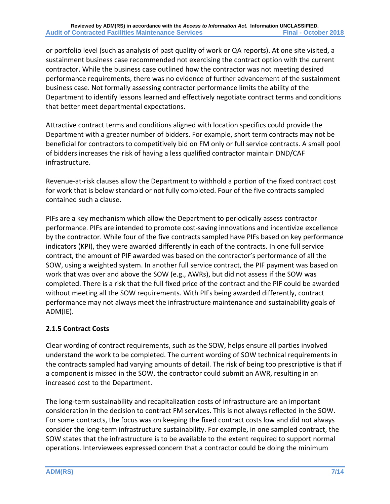or portfolio level (such as analysis of past quality of work or QA reports). At one site visited, a sustainment business case recommended not exercising the contract option with the current contractor. While the business case outlined how the contractor was not meeting desired performance requirements, there was no evidence of further advancement of the sustainment business case. Not formally assessing contractor performance limits the ability of the Department to identify lessons learned and effectively negotiate contract terms and conditions that better meet departmental expectations.

Attractive contract terms and conditions aligned with location specifics could provide the Department with a greater number of bidders. For example, short term contracts may not be beneficial for contractors to competitively bid on FM only or full service contracts. A small pool of bidders increases the risk of having a less qualified contractor maintain DND/CAF infrastructure.

Revenue-at-risk clauses allow the Department to withhold a portion of the fixed contract cost for work that is below standard or not fully completed. Four of the five contracts sampled contained such a clause.

PIFs are a key mechanism which allow the Department to periodically assess contractor performance. PIFs are intended to promote cost-saving innovations and incentivize excellence by the contractor. While four of the five contracts sampled have PIFs based on key performance indicators (KPI), they were awarded differently in each of the contracts. In one full service contract, the amount of PIF awarded was based on the contractor's performance of all the SOW, using a weighted system. In another full service contract, the PIF payment was based on work that was over and above the SOW (e.g., AWRs), but did not assess if the SOW was completed. There is a risk that the full fixed price of the contract and the PIF could be awarded without meeting all the SOW requirements. With PIFs being awarded differently, contract performance may not always meet the infrastructure maintenance and sustainability goals of ADM(IE).

## **2.1.5 Contract Costs**

Clear wording of contract requirements, such as the SOW, helps ensure all parties involved understand the work to be completed. The current wording of SOW technical requirements in the contracts sampled had varying amounts of detail. The risk of being too prescriptive is that if a component is missed in the SOW, the contractor could submit an AWR, resulting in an increased cost to the Department.

The long-term sustainability and recapitalization costs of infrastructure are an important consideration in the decision to contract FM services. This is not always reflected in the SOW. For some contracts, the focus was on keeping the fixed contract costs low and did not always consider the long-term infrastructure sustainability. For example, in one sampled contract, the SOW states that the infrastructure is to be available to the extent required to support normal operations. Interviewees expressed concern that a contractor could be doing the minimum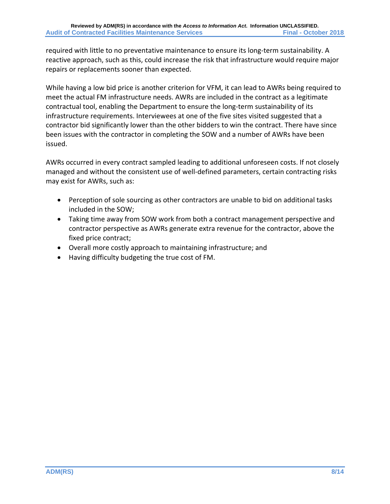required with little to no preventative maintenance to ensure its long-term sustainability. A reactive approach, such as this, could increase the risk that infrastructure would require major repairs or replacements sooner than expected.

While having a low bid price is another criterion for VFM, it can lead to AWRs being required to meet the actual FM infrastructure needs. AWRs are included in the contract as a legitimate contractual tool, enabling the Department to ensure the long-term sustainability of its infrastructure requirements. Interviewees at one of the five sites visited suggested that a contractor bid significantly lower than the other bidders to win the contract. There have since been issues with the contractor in completing the SOW and a number of AWRs have been issued.

AWRs occurred in every contract sampled leading to additional unforeseen costs. If not closely managed and without the consistent use of well-defined parameters, certain contracting risks may exist for AWRs, such as:

- Perception of sole sourcing as other contractors are unable to bid on additional tasks included in the SOW;
- Taking time away from SOW work from both a contract management perspective and contractor perspective as AWRs generate extra revenue for the contractor, above the fixed price contract;
- Overall more costly approach to maintaining infrastructure; and
- Having difficulty budgeting the true cost of FM.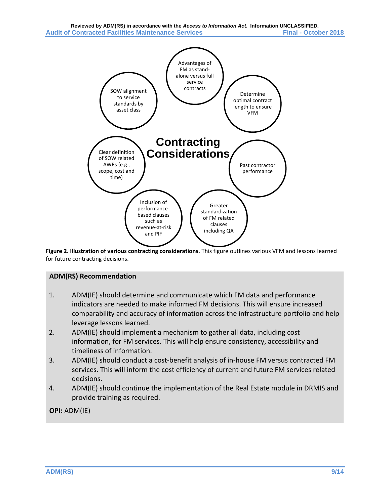

**Figure 2. Illustration of various contracting considerations.** This figure outlines various VFM and lessons learned for future contracting decisions.

#### **ADM(RS) Recommendation**

- 1. ADM(IE) should determine and communicate which FM data and performance indicators are needed to make informed FM decisions. This will ensure increased comparability and accuracy of information across the infrastructure portfolio and help leverage lessons learned.
- 2. ADM(IE) should implement a mechanism to gather all data, including cost information, for FM services. This will help ensure consistency, accessibility and timeliness of information.
- 3. ADM(IE) should conduct a cost-benefit analysis of in-house FM versus contracted FM services. This will inform the cost efficiency of current and future FM services related decisions.
- 4. ADM(IE) should continue the implementation of the Real Estate module in DRMIS and provide training as required.

**OPI:** ADM(IE)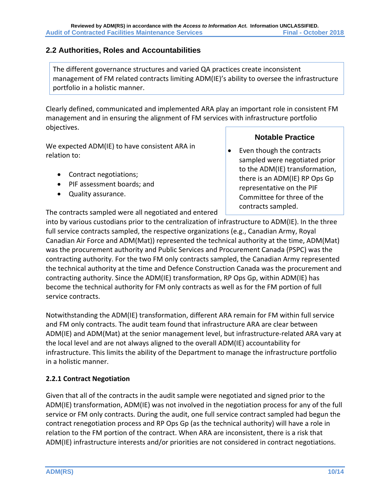## <span id="page-15-0"></span>**2.2 Authorities, Roles and Accountabilities**

The different governance structures and varied QA practices create inconsistent management of FM related contracts limiting ADM(IE)'s ability to oversee the infrastructure portfolio in a holistic manner.

Clearly defined, communicated and implemented ARA play an important role in consistent FM management and in ensuring the alignment of FM services with infrastructure portfolio objectives.

We expected ADM(IE) to have consistent ARA in relation to:

- Contract negotiations;
- PIF assessment boards; and
- Quality assurance.

## **Notable Practice**

Even though the contracts sampled were negotiated prior to the ADM(IE) transformation, there is an ADM(IE) RP Ops Gp representative on the PIF Committee for three of the contracts sampled.

The contracts sampled were all negotiated and entered

into by various custodians prior to the centralization of infrastructure to ADM(IE). In the three full service contracts sampled, the respective organizations (e.g., Canadian Army, Royal Canadian Air Force and ADM(Mat)) represented the technical authority at the time, ADM(Mat) was the procurement authority and Public Services and Procurement Canada (PSPC) was the contracting authority. For the two FM only contracts sampled, the Canadian Army represented the technical authority at the time and Defence Construction Canada was the procurement and contracting authority. Since the ADM(IE) transformation, RP Ops Gp, within ADM(IE) has become the technical authority for FM only contracts as well as for the FM portion of full service contracts.

Notwithstanding the ADM(IE) transformation, different ARA remain for FM within full service and FM only contracts. The audit team found that infrastructure ARA are clear between ADM(IE) and ADM(Mat) at the senior management level, but infrastructure-related ARA vary at the local level and are not always aligned to the overall ADM(IE) accountability for infrastructure. This limits the ability of the Department to manage the infrastructure portfolio in a holistic manner.

## **2.2.1 Contract Negotiation**

Given that all of the contracts in the audit sample were negotiated and signed prior to the ADM(IE) transformation, ADM(IE) was not involved in the negotiation process for any of the full service or FM only contracts. During the audit, one full service contract sampled had begun the contract renegotiation process and RP Ops Gp (as the technical authority) will have a role in relation to the FM portion of the contract. When ARA are inconsistent, there is a risk that ADM(IE) infrastructure interests and/or priorities are not considered in contract negotiations.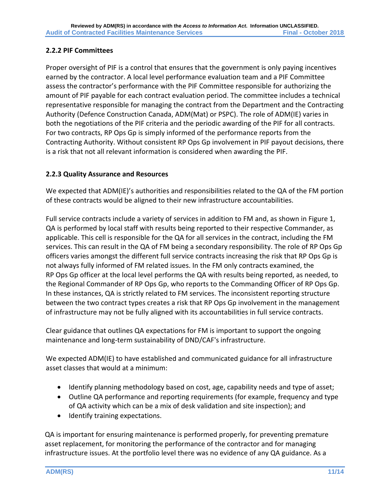#### **2.2.2 PIF Committees**

Proper oversight of PIF is a control that ensures that the government is only paying incentives earned by the contractor. A local level performance evaluation team and a PIF Committee assess the contractor's performance with the PIF Committee responsible for authorizing the amount of PIF payable for each contract evaluation period. The committee includes a technical representative responsible for managing the contract from the Department and the Contracting Authority (Defence Construction Canada, ADM(Mat) or PSPC). The role of ADM(IE) varies in both the negotiations of the PIF criteria and the periodic awarding of the PIF for all contracts. For two contracts, RP Ops Gp is simply informed of the performance reports from the Contracting Authority. Without consistent RP Ops Gp involvement in PIF payout decisions, there is a risk that not all relevant information is considered when awarding the PIF.

#### **2.2.3 Quality Assurance and Resources**

We expected that ADM(IE)'s authorities and responsibilities related to the QA of the FM portion of these contracts would be aligned to their new infrastructure accountabilities.

Full service contracts include a variety of services in addition to FM and, as shown in Figure 1, QA is performed by local staff with results being reported to their respective Commander, as applicable. This cell is responsible for the QA for all services in the contract, including the FM services. This can result in the QA of FM being a secondary responsibility. The role of RP Ops Gp officers varies amongst the different full service contracts increasing the risk that RP Ops Gp is not always fully informed of FM related issues. In the FM only contracts examined, the RP Ops Gp officer at the local level performs the QA with results being reported, as needed, to the Regional Commander of RP Ops Gp, who reports to the Commanding Officer of RP Ops Gp. In these instances, QA is strictly related to FM services. The inconsistent reporting structure between the two contract types creates a risk that RP Ops Gp involvement in the management of infrastructure may not be fully aligned with its accountabilities in full service contracts.

Clear guidance that outlines QA expectations for FM is important to support the ongoing maintenance and long-term sustainability of DND/CAF's infrastructure.

We expected ADM(IE) to have established and communicated guidance for all infrastructure asset classes that would at a minimum:

- Identify planning methodology based on cost, age, capability needs and type of asset;
- Outline QA performance and reporting requirements (for example, frequency and type of QA activity which can be a mix of desk validation and site inspection); and
- Identify training expectations.

QA is important for ensuring maintenance is performed properly, for preventing premature asset replacement, for monitoring the performance of the contractor and for managing infrastructure issues. At the portfolio level there was no evidence of any QA guidance. As a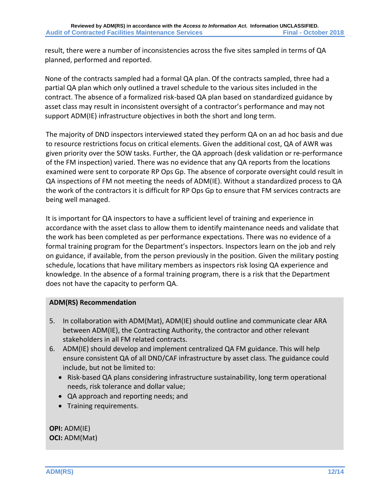result, there were a number of inconsistencies across the five sites sampled in terms of QA planned, performed and reported.

None of the contracts sampled had a formal QA plan. Of the contracts sampled, three had a partial QA plan which only outlined a travel schedule to the various sites included in the contract. The absence of a formalized risk-based QA plan based on standardized guidance by asset class may result in inconsistent oversight of a contractor's performance and may not support ADM(IE) infrastructure objectives in both the short and long term.

The majority of DND inspectors interviewed stated they perform QA on an ad hoc basis and due to resource restrictions focus on critical elements. Given the additional cost, QA of AWR was given priority over the SOW tasks. Further, the QA approach (desk validation or re-performance of the FM inspection) varied. There was no evidence that any QA reports from the locations examined were sent to corporate RP Ops Gp. The absence of corporate oversight could result in QA inspections of FM not meeting the needs of ADM(IE). Without a standardized process to QA the work of the contractors it is difficult for RP Ops Gp to ensure that FM services contracts are being well managed.

It is important for QA inspectors to have a sufficient level of training and experience in accordance with the asset class to allow them to identify maintenance needs and validate that the work has been completed as per performance expectations. There was no evidence of a formal training program for the Department's inspectors. Inspectors learn on the job and rely on guidance, if available, from the person previously in the position. Given the military posting schedule, locations that have military members as inspectors risk losing QA experience and knowledge. In the absence of a formal training program, there is a risk that the Department does not have the capacity to perform QA.

#### **ADM(RS) Recommendation**

- 5. In collaboration with ADM(Mat), ADM(IE) should outline and communicate clear ARA between ADM(IE), the Contracting Authority, the contractor and other relevant stakeholders in all FM related contracts.
- 6. ADM(IE) should develop and implement centralized QA FM guidance. This will help ensure consistent QA of all DND/CAF infrastructure by asset class. The guidance could include, but not be limited to:
	- Risk-based QA plans considering infrastructure sustainability, long term operational needs, risk tolerance and dollar value;
	- QA approach and reporting needs; and
	- Training requirements.

**OPI:** ADM(IE) **OCI:** ADM(Mat)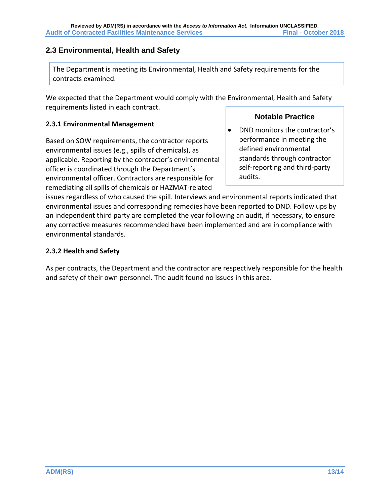## <span id="page-18-0"></span>**2.3 Environmental, Health and Safety**

The Department is meeting its Environmental, Health and Safety requirements for the contracts examined.

We expected that the Department would comply with the Environmental, Health and Safety requirements listed in each contract.

#### **2.3.1 Environmental Management**

Based on SOW requirements, the contractor reports environmental issues (e.g., spills of chemicals), as applicable. Reporting by the contractor's environmental officer is coordinated through the Department's environmental officer. Contractors are responsible for remediating all spills of chemicals or HAZMAT-related

## **Notable Practice**

• DND monitors the contractor's performance in meeting the defined environmental standards through contractor self-reporting and third-party audits.

issues regardless of who caused the spill. Interviews and environmental reports indicated that environmental issues and corresponding remedies have been reported to DND. Follow ups by an independent third party are completed the year following an audit, if necessary, to ensure any corrective measures recommended have been implemented and are in compliance with environmental standards.

#### **2.3.2 Health and Safety**

As per contracts, the Department and the contractor are respectively responsible for the health and safety of their own personnel. The audit found no issues in this area.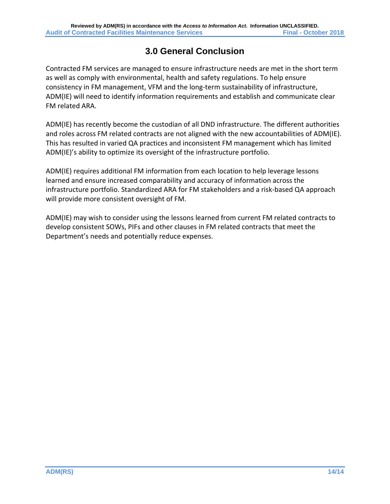# **3.0 General Conclusion**

<span id="page-19-0"></span>Contracted FM services are managed to ensure infrastructure needs are met in the short term as well as comply with environmental, health and safety regulations. To help ensure consistency in FM management, VFM and the long-term sustainability of infrastructure, ADM(IE) will need to identify information requirements and establish and communicate clear FM related ARA.

ADM(IE) has recently become the custodian of all DND infrastructure. The different authorities and roles across FM related contracts are not aligned with the new accountabilities of ADM(IE). This has resulted in varied QA practices and inconsistent FM management which has limited ADM(IE)'s ability to optimize its oversight of the infrastructure portfolio.

ADM(IE) requires additional FM information from each location to help leverage lessons learned and ensure increased comparability and accuracy of information across the infrastructure portfolio. Standardized ARA for FM stakeholders and a risk-based QA approach will provide more consistent oversight of FM.

ADM(IE) may wish to consider using the lessons learned from current FM related contracts to develop consistent SOWs, PIFs and other clauses in FM related contracts that meet the Department's needs and potentially reduce expenses.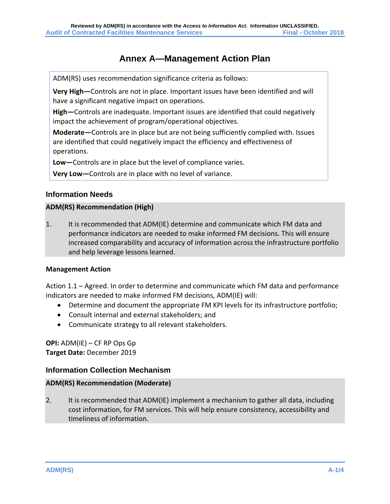# **Annex A—Management Action Plan**

<span id="page-20-0"></span>ADM(RS) uses recommendation significance criteria as follows:

**Very High—**Controls are not in place. Important issues have been identified and will have a significant negative impact on operations.

**High—**Controls are inadequate. Important issues are identified that could negatively impact the achievement of program/operational objectives.

**Moderate—**Controls are in place but are not being sufficiently complied with. Issues are identified that could negatively impact the efficiency and effectiveness of operations.

**Low—**Controls are in place but the level of compliance varies.

**Very Low—**Controls are in place with no level of variance.

#### **Information Needs**

#### **ADM(RS) Recommendation (High)**

1. It is recommended that ADM(IE) determine and communicate which FM data and performance indicators are needed to make informed FM decisions. This will ensure increased comparability and accuracy of information across the infrastructure portfolio and help leverage lessons learned.

#### **Management Action**

Action 1.1 – Agreed. In order to determine and communicate which FM data and performance indicators are needed to make informed FM decisions, ADM(IE) will:

- Determine and document the appropriate FM KPI levels for its infrastructure portfolio;
- Consult internal and external stakeholders; and
- Communicate strategy to all relevant stakeholders.

**OPI:** ADM(IE) – CF RP Ops Gp **Target Date:** December 2019

#### **Information Collection Mechanism**

#### **ADM(RS) Recommendation (Moderate)**

2. It is recommended that ADM(IE) implement a mechanism to gather all data, including cost information, for FM services. This will help ensure consistency, accessibility and timeliness of information.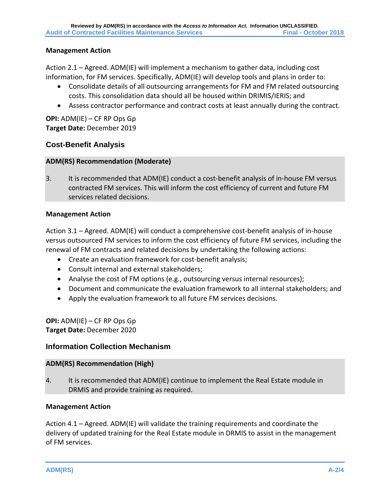#### **Management Action**

Action 2.1 – Agreed. ADM(IE) will implement a mechanism to gather data, including cost information, for FM services. Specifically, ADM(IE) will develop tools and plans in order to:

- Consolidate details of all outsourcing arrangements for FM and FM related outsourcing costs. This consolidation data should all be housed within DRIMIS/IERIS; and
- Assess contractor performance and contract costs at least annually during the contract.

**OPI:** ADM(IE) – CF RP Ops Gp **Target Date:** December 2019

#### **Cost-Benefit Analysis**

#### **ADM(RS) Recommendation (Moderate)**

3. It is recommended that ADM(IE) conduct a cost-benefit analysis of in-house FM versus contracted FM services. This will inform the cost efficiency of current and future FM services related decisions.

#### **Management Action**

Action 3.1 – Agreed. ADM(IE) will conduct a comprehensive cost-benefit analysis of in-house versus outsourced FM services to inform the cost efficiency of future FM services, including the renewal of FM contracts and related decisions by undertaking the following actions:

- Create an evaluation framework for cost-benefit analysis;
- Consult internal and external stakeholders;
- Analyse the cost of FM options (e.g., outsourcing versus internal resources);
- Document and communicate the evaluation framework to all internal stakeholders; and
- Apply the evaluation framework to all future FM services decisions.

**OPI:** ADM(IE) – CF RP Ops Gp **Target Date:** December 2020

#### **Information Collection Mechanism**

#### **ADM(RS) Recommendation (High)**

4. It is recommended that ADM(IE) continue to implement the Real Estate module in DRMIS and provide training as required.

#### **Management Action**

Action 4.1 – Agreed. ADM(IE) will validate the training requirements and coordinate the delivery of updated training for the Real Estate module in DRMIS to assist in the management of FM services.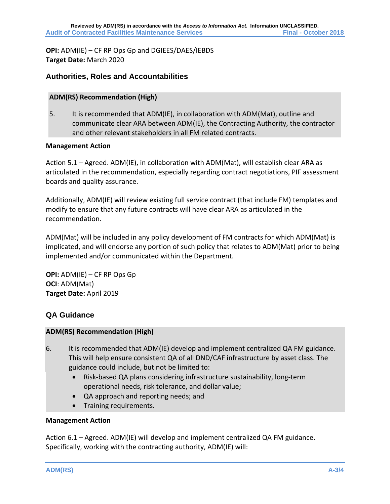**OPI:** ADM(IE) – CF RP Ops Gp and DGIEES/DAES/IEBDS **Target Date:** March 2020

#### **Authorities, Roles and Accountabilities**

#### **ADM(RS) Recommendation (High)**

5. It is recommended that ADM(IE), in collaboration with ADM(Mat), outline and communicate clear ARA between ADM(IE), the Contracting Authority, the contractor and other relevant stakeholders in all FM related contracts.

#### **Management Action**

Action 5.1 – Agreed. ADM(IE), in collaboration with ADM(Mat), will establish clear ARA as articulated in the recommendation, especially regarding contract negotiations, PIF assessment boards and quality assurance.

Additionally, ADM(IE) will review existing full service contract (that include FM) templates and modify to ensure that any future contracts will have clear ARA as articulated in the recommendation.

ADM(Mat) will be included in any policy development of FM contracts for which ADM(Mat) is implicated, and will endorse any portion of such policy that relates to ADM(Mat) prior to being implemented and/or communicated within the Department.

**OPI:** ADM(IE) – CF RP Ops Gp **OCI**: ADM(Mat) **Target Date:** April 2019

#### **QA Guidance**

#### **ADM(RS) Recommendation (High)**

- 6. It is recommended that ADM(IE) develop and implement centralized QA FM guidance. This will help ensure consistent QA of all DND/CAF infrastructure by asset class. The guidance could include, but not be limited to:
	- Risk-based QA plans considering infrastructure sustainability, long-term operational needs, risk tolerance, and dollar value;
	- QA approach and reporting needs; and
	- Training requirements.

#### **Management Action**

Action 6.1 – Agreed. ADM(IE) will develop and implement centralized QA FM guidance. Specifically, working with the contracting authority, ADM(IE) will: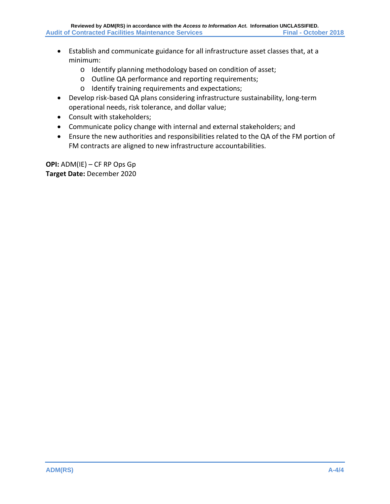- Establish and communicate guidance for all infrastructure asset classes that, at a minimum:
	- o Identify planning methodology based on condition of asset;
	- o Outline QA performance and reporting requirements;
	- o Identify training requirements and expectations;
- Develop risk-based QA plans considering infrastructure sustainability, long-term operational needs, risk tolerance, and dollar value;
- Consult with stakeholders;
- Communicate policy change with internal and external stakeholders; and
- Ensure the new authorities and responsibilities related to the QA of the FM portion of FM contracts are aligned to new infrastructure accountabilities.

**OPI:** ADM(IE) – CF RP Ops Gp **Target Date:** December 2020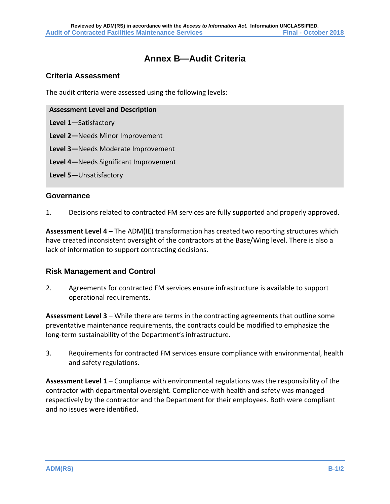## **Annex B—Audit Criteria**

#### <span id="page-24-0"></span>**Criteria Assessment**

The audit criteria were assessed using the following levels:

**Assessment Level and Description**

**Level 1—**Satisfactory

**Level 2—**Needs Minor Improvement

**Level 3—**Needs Moderate Improvement

**Level 4—**Needs Significant Improvement

**Level 5—**Unsatisfactory

#### **Governance**

1. Decisions related to contracted FM services are fully supported and properly approved.

**Assessment Level 4 –** The ADM(IE) transformation has created two reporting structures which have created inconsistent oversight of the contractors at the Base/Wing level. There is also a lack of information to support contracting decisions.

#### **Risk Management and Control**

2. Agreements for contracted FM services ensure infrastructure is available to support operational requirements.

**Assessment Level 3** – While there are terms in the contracting agreements that outline some preventative maintenance requirements, the contracts could be modified to emphasize the long-term sustainability of the Department's infrastructure.

3. Requirements for contracted FM services ensure compliance with environmental, health and safety regulations.

**Assessment Level 1** – Compliance with environmental regulations was the responsibility of the contractor with departmental oversight. Compliance with health and safety was managed respectively by the contractor and the Department for their employees. Both were compliant and no issues were identified.